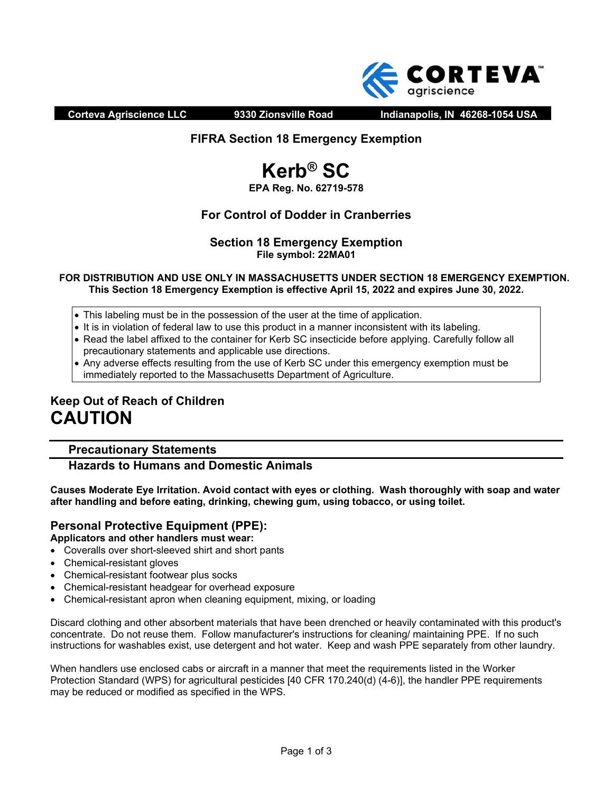

**Corteva Agriscience LLC 9330 Zionsville Road Indianapolis, IN 46268-1054 USA** 

## **FIFRA Section 18 Emergency Exemption**

# **Kerb® SC**

## **EPA Reg. No. 62719-578**

## **For Control of Dodder in Cranberries**

## **Section 18 Emergency Exemption File symbol: 22MA01**

#### **FOR DISTRIBUTION AND USE ONLY IN MASSACHUSETTS UNDER SECTION 18 EMERGENCY EXEMPTION. This Section 18 Emergency Exemption is effective April 15, 2022 and expires June 30, 2022.**

- This labeling must be in the possession of the user at the time of application.
- It is in violation of federal law to use this product in a manner inconsistent with its labeling.
- Read the label affixed to the container for Kerb SC insecticide before applying. Carefully follow all precautionary statements and applicable use directions.
- Any adverse effects resulting from the use of Kerb SC under this emergency exemption must be immediately reported to the Massachusetts Department of Agriculture.

## **Keep Out of Reach of Children CAUTION**

## **Precautionary Statements**

## **Hazards to Humans and Domestic Animals**

**Causes Moderate Eye Irritation. Avoid contact with eyes or clothing. Wash thoroughly with soap and water after handling and before eating, drinking, chewing gum, using tobacco, or using toilet.**

#### **Personal Protective Equipment (PPE): Applicators and other handlers must wear:**

- Coveralls over short-sleeved shirt and short pants
- Chemical-resistant gloves
- Chemical-resistant footwear plus socks
- Chemical-resistant headgear for overhead exposure
- Chemical-resistant apron when cleaning equipment, mixing, or loading

Discard clothing and other absorbent materials that have been drenched or heavily contaminated with this product's concentrate. Do not reuse them. Follow manufacturer's instructions for cleaning/ maintaining PPE. If no such instructions for washables exist, use detergent and hot water. Keep and wash PPE separately from other laundry.

When handlers use enclosed cabs or aircraft in a manner that meet the requirements listed in the Worker Protection Standard (WPS) for agricultural pesticides [40 CFR 170.240(d) (4-6)], the handler PPE requirements may be reduced or modified as specified in the WPS.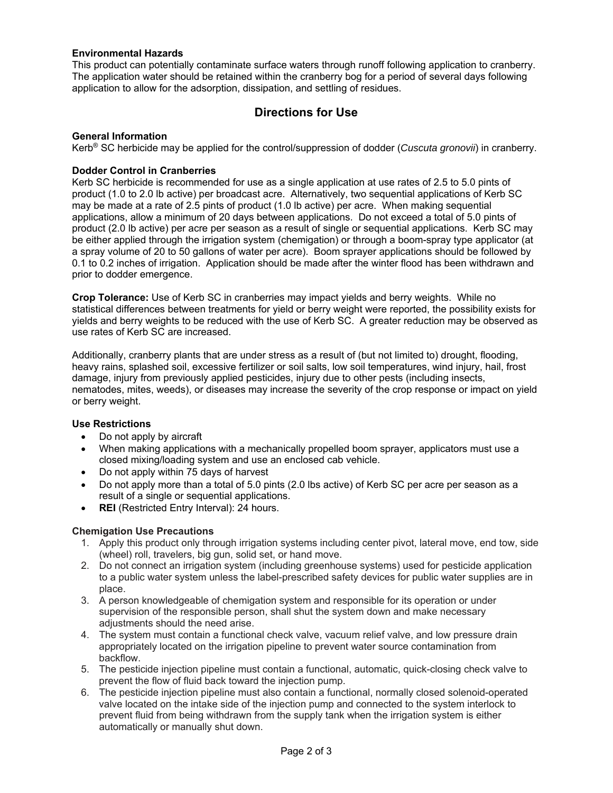#### **Environmental Hazards**

This product can potentially contaminate surface waters through runoff following application to cranberry. The application water should be retained within the cranberry bog for a period of several days following application to allow for the adsorption, dissipation, and settling of residues.

## **Directions for Use**

#### **General Information**

Kerb® SC herbicide may be applied for the control/suppression of dodder (*Cuscuta gronovii*) in cranberry.

#### **Dodder Control in Cranberries**

Kerb SC herbicide is recommended for use as a single application at use rates of 2.5 to 5.0 pints of product (1.0 to 2.0 lb active) per broadcast acre. Alternatively, two sequential applications of Kerb SC may be made at a rate of 2.5 pints of product (1.0 lb active) per acre. When making sequential applications, allow a minimum of 20 days between applications. Do not exceed a total of 5.0 pints of product (2.0 lb active) per acre per season as a result of single or sequential applications. Kerb SC may be either applied through the irrigation system (chemigation) or through a boom-spray type applicator (at a spray volume of 20 to 50 gallons of water per acre). Boom sprayer applications should be followed by 0.1 to 0.2 inches of irrigation. Application should be made after the winter flood has been withdrawn and prior to dodder emergence.

**Crop Tolerance:** Use of Kerb SC in cranberries may impact yields and berry weights. While no statistical differences between treatments for yield or berry weight were reported, the possibility exists for yields and berry weights to be reduced with the use of Kerb SC. A greater reduction may be observed as use rates of Kerb SC are increased.

Additionally, cranberry plants that are under stress as a result of (but not limited to) drought, flooding, heavy rains, splashed soil, excessive fertilizer or soil salts, low soil temperatures, wind injury, hail, frost damage, injury from previously applied pesticides, injury due to other pests (including insects, nematodes, mites, weeds), or diseases may increase the severity of the crop response or impact on yield or berry weight.

#### **Use Restrictions**

- Do not apply by aircraft
- When making applications with a mechanically propelled boom sprayer, applicators must use a closed mixing/loading system and use an enclosed cab vehicle.
- Do not apply within 75 days of harvest
- Do not apply more than a total of 5.0 pints (2.0 lbs active) of Kerb SC per acre per season as a result of a single or sequential applications.
- **REI** (Restricted Entry Interval): 24 hours.

### **Chemigation Use Precautions**

- 1. Apply this product only through irrigation systems including center pivot, lateral move, end tow, side (wheel) roll, travelers, big gun, solid set, or hand move.
- 2. Do not connect an irrigation system (including greenhouse systems) used for pesticide application to a public water system unless the label-prescribed safety devices for public water supplies are in place.
- 3. A person knowledgeable of chemigation system and responsible for its operation or under supervision of the responsible person, shall shut the system down and make necessary adjustments should the need arise.
- 4. The system must contain a functional check valve, vacuum relief valve, and low pressure drain appropriately located on the irrigation pipeline to prevent water source contamination from backflow.
- 5. The pesticide injection pipeline must contain a functional, automatic, quick-closing check valve to prevent the flow of fluid back toward the injection pump.
- 6. The pesticide injection pipeline must also contain a functional, normally closed solenoid-operated valve located on the intake side of the injection pump and connected to the system interlock to prevent fluid from being withdrawn from the supply tank when the irrigation system is either automatically or manually shut down.